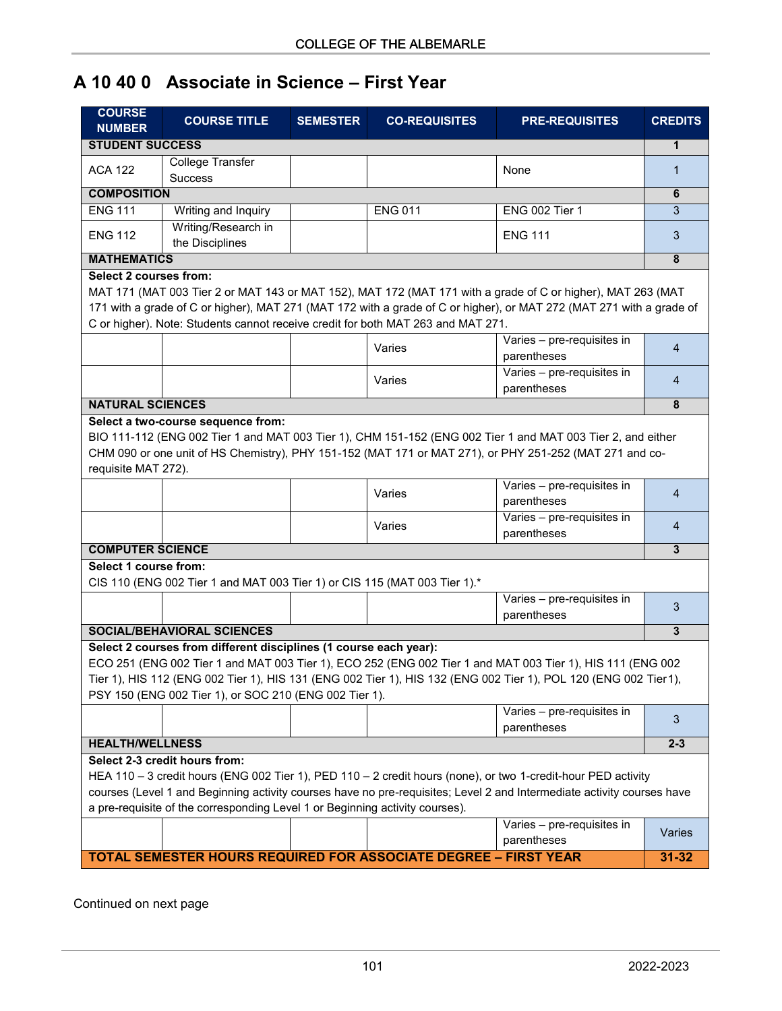# **A 10 40 0 Associate in Science – First Year**

| <b>COURSE</b><br><b>NUMBER</b> | <b>COURSE TITLE</b>                                                                                                         | <b>SEMESTER</b> | <b>CO-REQUISITES</b> | <b>PRE-REQUISITES</b>                                                                                                                                                                                                                   | <b>CREDITS</b> |
|--------------------------------|-----------------------------------------------------------------------------------------------------------------------------|-----------------|----------------------|-----------------------------------------------------------------------------------------------------------------------------------------------------------------------------------------------------------------------------------------|----------------|
| <b>STUDENT SUCCESS</b>         |                                                                                                                             |                 |                      |                                                                                                                                                                                                                                         |                |
| <b>ACA 122</b>                 | College Transfer<br><b>Success</b>                                                                                          |                 |                      | None                                                                                                                                                                                                                                    | 1              |
| <b>COMPOSITION</b>             |                                                                                                                             |                 |                      |                                                                                                                                                                                                                                         |                |
| <b>ENG 111</b>                 | Writing and Inquiry                                                                                                         |                 | <b>ENG 011</b>       | <b>ENG 002 Tier 1</b>                                                                                                                                                                                                                   | 3              |
| <b>ENG 112</b>                 | Writing/Research in<br>the Disciplines                                                                                      |                 |                      | <b>ENG 111</b>                                                                                                                                                                                                                          | 3              |
| <b>MATHEMATICS</b>             |                                                                                                                             |                 |                      |                                                                                                                                                                                                                                         | 8              |
| <b>Select 2 courses from:</b>  | C or higher). Note: Students cannot receive credit for both MAT 263 and MAT 271.                                            |                 |                      | MAT 171 (MAT 003 Tier 2 or MAT 143 or MAT 152), MAT 172 (MAT 171 with a grade of C or higher), MAT 263 (MAT<br>171 with a grade of C or higher), MAT 271 (MAT 172 with a grade of C or higher), or MAT 272 (MAT 271 with a grade of     |                |
|                                |                                                                                                                             |                 | Varies               | Varies - pre-requisites in<br>parentheses                                                                                                                                                                                               | $\overline{4}$ |
|                                |                                                                                                                             |                 | Varies               | Varies - pre-requisites in<br>parentheses                                                                                                                                                                                               | $\overline{4}$ |
| <b>NATURAL SCIENCES</b>        |                                                                                                                             |                 |                      |                                                                                                                                                                                                                                         | 8              |
| requisite MAT 272).            |                                                                                                                             |                 | Varies               | CHM 090 or one unit of HS Chemistry), PHY 151-152 (MAT 171 or MAT 271), or PHY 251-252 (MAT 271 and co-<br>Varies - pre-requisites in<br>parentheses                                                                                    | $\overline{4}$ |
|                                |                                                                                                                             |                 | Varies               | Varies - pre-requisites in<br>parentheses                                                                                                                                                                                               | 4              |
| <b>COMPUTER SCIENCE</b>        |                                                                                                                             |                 |                      |                                                                                                                                                                                                                                         |                |
| Select 1 course from:          | CIS 110 (ENG 002 Tier 1 and MAT 003 Tier 1) or CIS 115 (MAT 003 Tier 1).*                                                   |                 |                      |                                                                                                                                                                                                                                         |                |
|                                |                                                                                                                             |                 |                      | Varies - pre-requisites in<br>parentheses                                                                                                                                                                                               | 3              |
|                                | <b>SOCIAL/BEHAVIORAL SCIENCES</b>                                                                                           |                 |                      |                                                                                                                                                                                                                                         | $\mathbf{3}$   |
|                                | Select 2 courses from different disciplines (1 course each year):<br>PSY 150 (ENG 002 Tier 1), or SOC 210 (ENG 002 Tier 1). |                 |                      | ECO 251 (ENG 002 Tier 1 and MAT 003 Tier 1), ECO 252 (ENG 002 Tier 1 and MAT 003 Tier 1), HIS 111 (ENG 002<br>Tier 1), HIS 112 (ENG 002 Tier 1), HIS 131 (ENG 002 Tier 1), HIS 132 (ENG 002 Tier 1), POL 120 (ENG 002 Tier1),           |                |
|                                |                                                                                                                             |                 |                      | Varies - pre-requisites in<br>parentheses                                                                                                                                                                                               | 3              |
| <b>HEALTH/WELLNESS</b>         |                                                                                                                             |                 |                      |                                                                                                                                                                                                                                         | $2 - 3$        |
|                                | Select 2-3 credit hours from:<br>a pre-requisite of the corresponding Level 1 or Beginning activity courses).               |                 |                      | HEA 110 - 3 credit hours (ENG 002 Tier 1), PED 110 - 2 credit hours (none), or two 1-credit-hour PED activity<br>courses (Level 1 and Beginning activity courses have no pre-requisites; Level 2 and Intermediate activity courses have |                |
|                                |                                                                                                                             |                 |                      | Varies - pre-requisites in<br>parentheses                                                                                                                                                                                               | Varies         |
|                                | TOTAL SEMESTER HOURS REQUIRED FOR ASSOCIATE DEGREE - FIRST YEAR                                                             |                 |                      |                                                                                                                                                                                                                                         | $31 - 32$      |

Continued on next page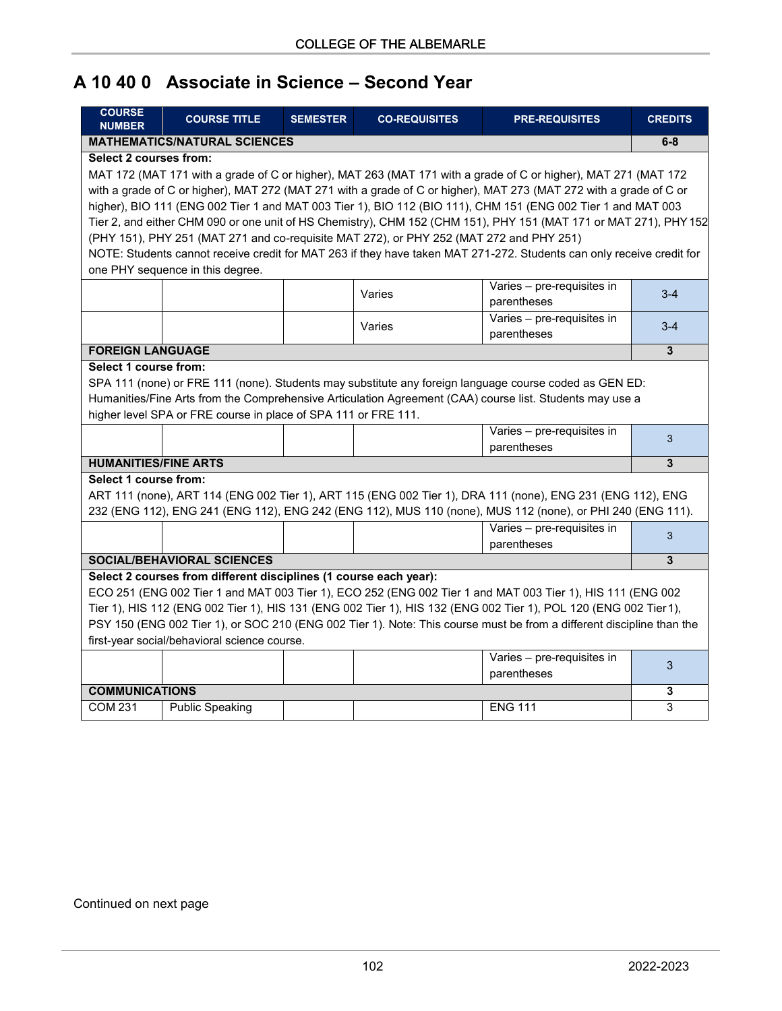## **A 10 40 0 Associate in Science – Second Year**

| <b>COURSE</b><br><b>NUMBER</b>                                                                                                                                                                                                 | <b>COURSE TITLE</b>                                                                                            | <b>SEMESTER</b> | <b>CO-REQUISITES</b>                                                                    | <b>PRE-REQUISITES</b>                                                                                                 | <b>CREDITS</b> |  |  |  |
|--------------------------------------------------------------------------------------------------------------------------------------------------------------------------------------------------------------------------------|----------------------------------------------------------------------------------------------------------------|-----------------|-----------------------------------------------------------------------------------------|-----------------------------------------------------------------------------------------------------------------------|----------------|--|--|--|
| <b>MATHEMATICS/NATURAL SCIENCES</b>                                                                                                                                                                                            |                                                                                                                |                 |                                                                                         |                                                                                                                       |                |  |  |  |
| <b>Select 2 courses from:</b>                                                                                                                                                                                                  |                                                                                                                |                 |                                                                                         |                                                                                                                       |                |  |  |  |
|                                                                                                                                                                                                                                | MAT 172 (MAT 171 with a grade of C or higher), MAT 263 (MAT 171 with a grade of C or higher), MAT 271 (MAT 172 |                 |                                                                                         |                                                                                                                       |                |  |  |  |
|                                                                                                                                                                                                                                |                                                                                                                |                 |                                                                                         | with a grade of C or higher), MAT 272 (MAT 271 with a grade of C or higher), MAT 273 (MAT 272 with a grade of C or    |                |  |  |  |
|                                                                                                                                                                                                                                |                                                                                                                |                 |                                                                                         | higher), BIO 111 (ENG 002 Tier 1 and MAT 003 Tier 1), BIO 112 (BIO 111), CHM 151 (ENG 002 Tier 1 and MAT 003          |                |  |  |  |
|                                                                                                                                                                                                                                |                                                                                                                |                 |                                                                                         | Tier 2, and either CHM 090 or one unit of HS Chemistry), CHM 152 (CHM 151), PHY 151 (MAT 171 or MAT 271), PHY 152     |                |  |  |  |
|                                                                                                                                                                                                                                |                                                                                                                |                 | (PHY 151), PHY 251 (MAT 271 and co-requisite MAT 272), or PHY 252 (MAT 272 and PHY 251) |                                                                                                                       |                |  |  |  |
|                                                                                                                                                                                                                                |                                                                                                                |                 |                                                                                         | NOTE: Students cannot receive credit for MAT 263 if they have taken MAT 271-272. Students can only receive credit for |                |  |  |  |
|                                                                                                                                                                                                                                | one PHY sequence in this degree.                                                                               |                 |                                                                                         |                                                                                                                       |                |  |  |  |
|                                                                                                                                                                                                                                |                                                                                                                |                 | Varies                                                                                  | Varies - pre-requisites in                                                                                            | $3 - 4$        |  |  |  |
|                                                                                                                                                                                                                                |                                                                                                                |                 |                                                                                         | parentheses                                                                                                           |                |  |  |  |
|                                                                                                                                                                                                                                |                                                                                                                |                 | Varies                                                                                  | Varies - pre-requisites in                                                                                            | $3-4$          |  |  |  |
|                                                                                                                                                                                                                                |                                                                                                                |                 |                                                                                         | parentheses                                                                                                           |                |  |  |  |
| <b>FOREIGN LANGUAGE</b>                                                                                                                                                                                                        |                                                                                                                |                 |                                                                                         |                                                                                                                       | 3              |  |  |  |
| Select 1 course from:                                                                                                                                                                                                          |                                                                                                                |                 |                                                                                         |                                                                                                                       |                |  |  |  |
|                                                                                                                                                                                                                                |                                                                                                                |                 |                                                                                         | SPA 111 (none) or FRE 111 (none). Students may substitute any foreign language course coded as GEN ED:                |                |  |  |  |
|                                                                                                                                                                                                                                |                                                                                                                |                 |                                                                                         | Humanities/Fine Arts from the Comprehensive Articulation Agreement (CAA) course list. Students may use a              |                |  |  |  |
|                                                                                                                                                                                                                                | higher level SPA or FRE course in place of SPA 111 or FRE 111.                                                 |                 |                                                                                         |                                                                                                                       |                |  |  |  |
|                                                                                                                                                                                                                                |                                                                                                                |                 |                                                                                         | Varies - pre-requisites in                                                                                            | 3              |  |  |  |
|                                                                                                                                                                                                                                |                                                                                                                |                 |                                                                                         | parentheses                                                                                                           | 3              |  |  |  |
| <b>HUMANITIES/FINE ARTS</b>                                                                                                                                                                                                    |                                                                                                                |                 |                                                                                         |                                                                                                                       |                |  |  |  |
| Select 1 course from:                                                                                                                                                                                                          |                                                                                                                |                 |                                                                                         |                                                                                                                       |                |  |  |  |
|                                                                                                                                                                                                                                |                                                                                                                |                 |                                                                                         | ART 111 (none), ART 114 (ENG 002 Tier 1), ART 115 (ENG 002 Tier 1), DRA 111 (none), ENG 231 (ENG 112), ENG            |                |  |  |  |
|                                                                                                                                                                                                                                |                                                                                                                |                 |                                                                                         | 232 (ENG 112), ENG 241 (ENG 112), ENG 242 (ENG 112), MUS 110 (none), MUS 112 (none), or PHI 240 (ENG 111).            |                |  |  |  |
|                                                                                                                                                                                                                                |                                                                                                                |                 |                                                                                         | Varies - pre-requisites in                                                                                            | 3              |  |  |  |
|                                                                                                                                                                                                                                |                                                                                                                |                 |                                                                                         | parentheses                                                                                                           | 3              |  |  |  |
| SOCIAL/BEHAVIORAL SCIENCES<br>Select 2 courses from different disciplines (1 course each year):                                                                                                                                |                                                                                                                |                 |                                                                                         |                                                                                                                       |                |  |  |  |
|                                                                                                                                                                                                                                |                                                                                                                |                 |                                                                                         |                                                                                                                       |                |  |  |  |
| ECO 251 (ENG 002 Tier 1 and MAT 003 Tier 1), ECO 252 (ENG 002 Tier 1 and MAT 003 Tier 1), HIS 111 (ENG 002<br>Tier 1), HIS 112 (ENG 002 Tier 1), HIS 131 (ENG 002 Tier 1), HIS 132 (ENG 002 Tier 1), POL 120 (ENG 002 Tier 1), |                                                                                                                |                 |                                                                                         |                                                                                                                       |                |  |  |  |
|                                                                                                                                                                                                                                |                                                                                                                |                 |                                                                                         |                                                                                                                       |                |  |  |  |
| PSY 150 (ENG 002 Tier 1), or SOC 210 (ENG 002 Tier 1). Note: This course must be from a different discipline than the                                                                                                          |                                                                                                                |                 |                                                                                         |                                                                                                                       |                |  |  |  |
| first-year social/behavioral science course.                                                                                                                                                                                   |                                                                                                                |                 |                                                                                         |                                                                                                                       |                |  |  |  |
|                                                                                                                                                                                                                                |                                                                                                                |                 |                                                                                         | Varies - pre-requisites in                                                                                            | 3              |  |  |  |
|                                                                                                                                                                                                                                |                                                                                                                |                 |                                                                                         | parentheses                                                                                                           |                |  |  |  |
| <b>COMMUNICATIONS</b>                                                                                                                                                                                                          |                                                                                                                |                 |                                                                                         |                                                                                                                       | 3              |  |  |  |
| <b>COM 231</b>                                                                                                                                                                                                                 | <b>Public Speaking</b>                                                                                         |                 |                                                                                         | <b>ENG 111</b>                                                                                                        | 3              |  |  |  |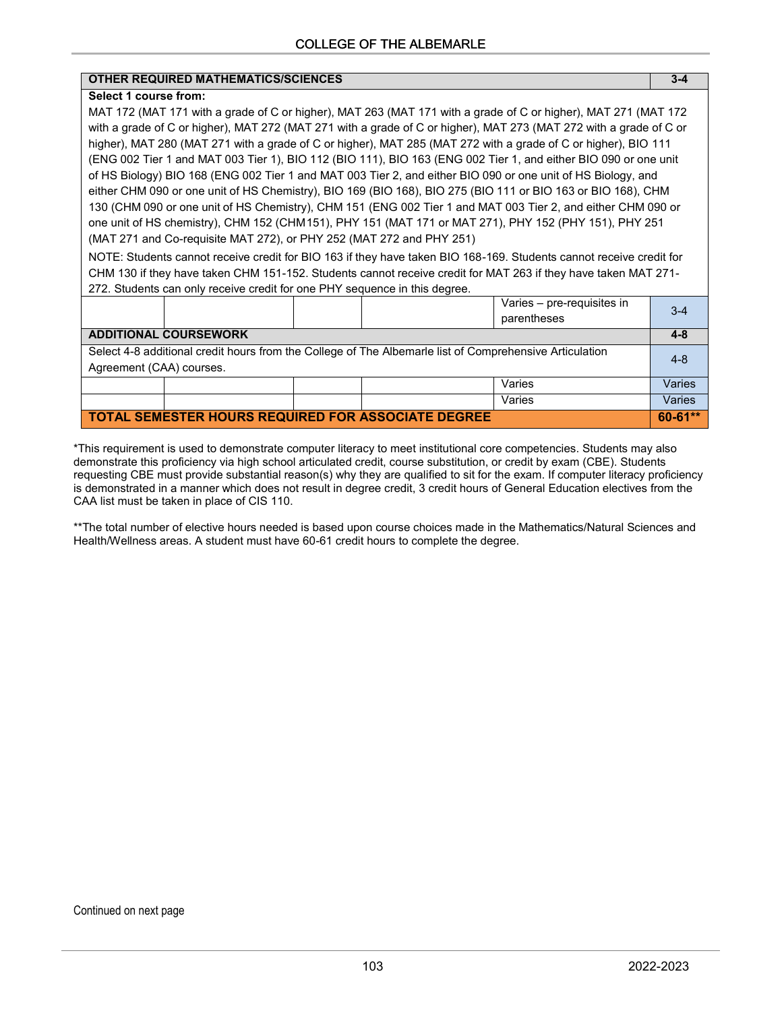#### **OTHER REQUIRED MATHEMATICS/SCIENCES 3-4**

#### **Select 1 course from:**

MAT 172 (MAT 171 with a grade of C or higher), MAT 263 (MAT 171 with a grade of C or higher), MAT 271 (MAT 172 with a grade of C or higher), MAT 272 (MAT 271 with a grade of C or higher), MAT 273 (MAT 272 with a grade of C or higher), MAT 280 (MAT 271 with a grade of C or higher), MAT 285 (MAT 272 with a grade of C or higher), BIO 111 (ENG 002 Tier 1 and MAT 003 Tier 1), BIO 112 (BIO 111), BIO 163 (ENG 002 Tier 1, and either BIO 090 or one unit of HS Biology) BIO 168 (ENG 002 Tier 1 and MAT 003 Tier 2, and either BIO 090 or one unit of HS Biology, and either CHM 090 or one unit of HS Chemistry), BIO 169 (BIO 168), BIO 275 (BIO 111 or BIO 163 or BIO 168), CHM 130 (CHM 090 or one unit of HS Chemistry), CHM 151 (ENG 002 Tier 1 and MAT 003 Tier 2, and either CHM 090 or one unit of HS chemistry), CHM 152 (CHM151), PHY 151 (MAT 171 or MAT 271), PHY 152 (PHY 151), PHY 251 (MAT 271 and Co-requisite MAT 272), or PHY 252 (MAT 272 and PHY 251)

NOTE: Students cannot receive credit for BIO 163 if they have taken BIO 168-169. Students cannot receive credit for CHM 130 if they have taken CHM 151-152. Students cannot receive credit for MAT 263 if they have taken MAT 271- 272. Students can only receive credit for one PHY sequence in this degree.

|                                                                                                                                     |  |  |  | Varies - pre-requisites in<br>parentheses | $3-4$       |
|-------------------------------------------------------------------------------------------------------------------------------------|--|--|--|-------------------------------------------|-------------|
| <b>ADDITIONAL COURSEWORK</b>                                                                                                        |  |  |  | 4-8                                       |             |
| Select 4-8 additional credit hours from the College of The Albemarle list of Comprehensive Articulation<br>Agreement (CAA) courses. |  |  |  |                                           | $4 - 8$     |
|                                                                                                                                     |  |  |  | Varies                                    | Varies      |
|                                                                                                                                     |  |  |  | Varies                                    | Varies      |
| TOTAL SEMESTER HOURS REQUIRED FOR ASSOCIATE DEGREE                                                                                  |  |  |  |                                           | $60 - 61**$ |

\*This requirement is used to demonstrate computer literacy to meet institutional core competencies. Students may also demonstrate this proficiency via high school articulated credit, course substitution, or credit by exam (CBE). Students requesting CBE must provide substantial reason(s) why they are qualified to sit for the exam. If computer literacy proficiency is demonstrated in a manner which does not result in degree credit, 3 credit hours of General Education electives from the CAA list must be taken in place of CIS 110.

\*\*The total number of elective hours needed is based upon course choices made in the Mathematics/Natural Sciences and Health/Wellness areas. A student must have 60-61 credit hours to complete the degree.

Continued on next page